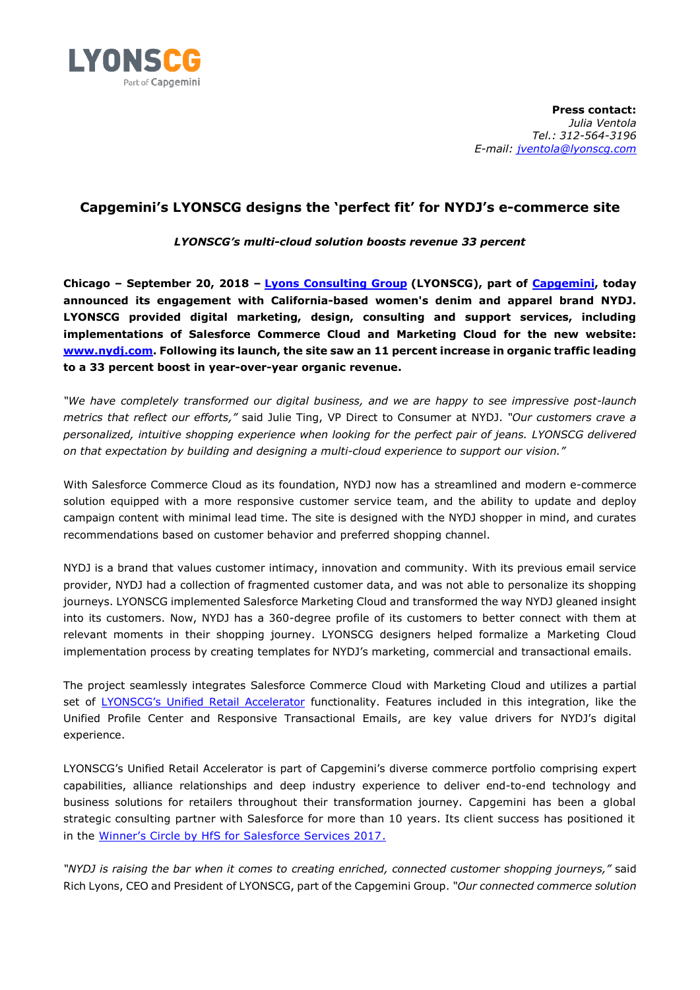

**Press contact:**  *Julia Ventola Tel.: 312-564-3196 E-mail: [jventola@lyonscg.com](mailto:jventola@lyonscg.com)*

## **Capgemini's LYONSCG designs the 'perfect fit' for NYDJ's e-commerce site**

*LYONSCG's multi-cloud solution boosts revenue 33 percent*

**Chicago – September 20, 2018 – [Lyons Consulting Group](http://www.lyonscg.com/) (LYONSCG), part of [Capgemini,](https://www.capgemini.com/) today announced its engagement with California-based women's denim and apparel brand NYDJ. LYONSCG provided digital marketing, design, consulting and support services, including implementations of Salesforce Commerce Cloud and Marketing Cloud for the new website: [www.nydj.com.](http://www.nydj.com/) Following its launch, the site saw an 11 percent increase in organic traffic leading to a 33 percent boost in year-over-year organic revenue.**

*"We have completely transformed our digital business, and we are happy to see impressive post-launch metrics that reflect our efforts,"* said Julie Ting, VP Direct to Consumer at NYDJ. *"Our customers crave a personalized, intuitive shopping experience when looking for the perfect pair of jeans. LYONSCG delivered on that expectation by building and designing a multi-cloud experience to support our vision."*

With Salesforce Commerce Cloud as its foundation, NYDJ now has a streamlined and modern e-commerce solution equipped with a more responsive customer service team, and the ability to update and deploy campaign content with minimal lead time. The site is designed with the NYDJ shopper in mind, and curates recommendations based on customer behavior and preferred shopping channel.

NYDJ is a brand that values customer intimacy, innovation and community. With its previous email service provider, NYDJ had a collection of fragmented customer data, and was not able to personalize its shopping journeys. LYONSCG implemented Salesforce Marketing Cloud and transformed the way NYDJ gleaned insight into its customers. Now, NYDJ has a 360-degree profile of its customers to better connect with them at relevant moments in their shopping journey. LYONSCG designers helped formalize a Marketing Cloud implementation process by creating templates for NYDJ's marketing, commercial and transactional emails.

The project seamlessly integrates Salesforce Commerce Cloud with Marketing Cloud and utilizes a partial set of [LYONSCG's Unified Retail Accelerator](https://www.lyonscg.com/retail) functionality. Features included in this integration, like the Unified Profile Center and Responsive Transactional Emails, are key value drivers for NYDJ's digital experience.

LYONSCG's Unified Retail Accelerator is part of Capgemini's diverse commerce portfolio comprising expert capabilities, alliance relationships and deep industry experience to deliver end-to-end technology and business solutions for retailers throughout their transformation journey. Capgemini has been a global strategic consulting partner with Salesforce for more than 10 years. Its client success has positioned it in the [Winner's Circle by HfS for Salesforce Services 2017](https://www.capgemini.com/news/capgemini-positioned-in-the-winners-circle-by-hfs-for-salesforce-services-2017/).

*"NYDJ is raising the bar when it comes to creating enriched, connected customer shopping journeys,"* said Rich Lyons, CEO and President of LYONSCG, part of the Capgemini Group. *"Our connected commerce solution*